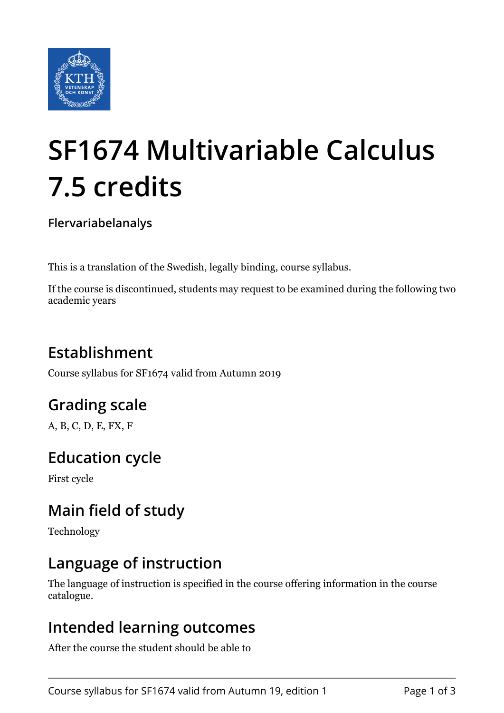

# **SF1674 Multivariable Calculus 7.5 credits**

**Flervariabelanalys**

This is a translation of the Swedish, legally binding, course syllabus.

If the course is discontinued, students may request to be examined during the following two academic years

# **Establishment**

Course syllabus for SF1674 valid from Autumn 2019

# **Grading scale**

A, B, C, D, E, FX, F

## **Education cycle**

First cycle

# **Main field of study**

Technology

## **Language of instruction**

The language of instruction is specified in the course offering information in the course catalogue.

#### **Intended learning outcomes**

After the course the student should be able to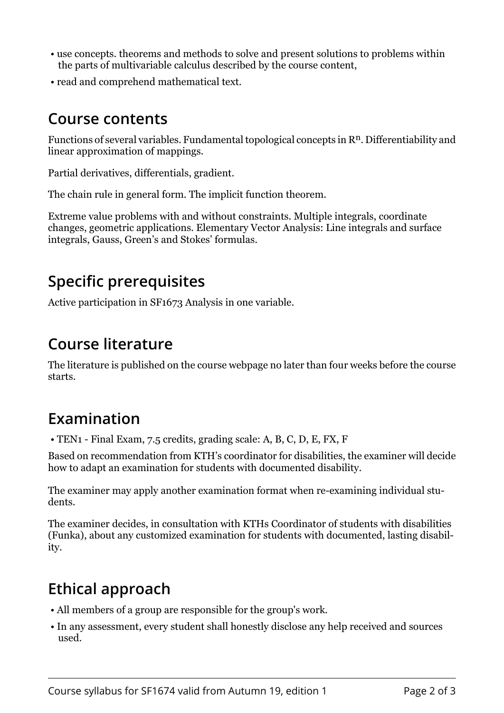- use concepts. theorems and methods to solve and present solutions to problems within the parts of multivariable calculus described by the course content,
- read and comprehend mathematical text.

#### **Course contents**

Functions of several variables. Fundamental topological concepts in  $\mathbb{R}^n$ . Differentiability and linear approximation of mappings.

Partial derivatives, differentials, gradient.

The chain rule in general form. The implicit function theorem.

Extreme value problems with and without constraints. Multiple integrals, coordinate changes, geometric applications. Elementary Vector Analysis: Line integrals and surface integrals, Gauss, Green's and Stokes' formulas.

## **Specific prerequisites**

Active participation in SF1673 Analysis in one variable.

## **Course literature**

The literature is published on the course webpage no later than four weeks before the course starts.

## **Examination**

• TEN1 - Final Exam, 7.5 credits, grading scale: A, B, C, D, E, FX, F

Based on recommendation from KTH's coordinator for disabilities, the examiner will decide how to adapt an examination for students with documented disability.

The examiner may apply another examination format when re-examining individual students.

The examiner decides, in consultation with KTHs Coordinator of students with disabilities (Funka), about any customized examination for students with documented, lasting disability.

# **Ethical approach**

- All members of a group are responsible for the group's work.
- In any assessment, every student shall honestly disclose any help received and sources used.